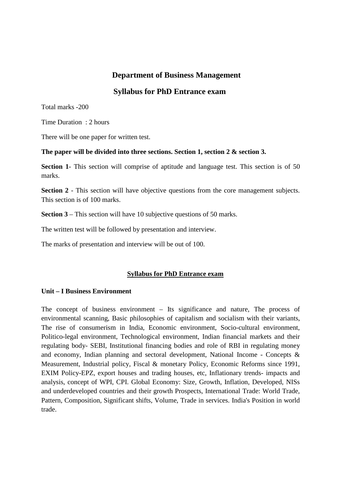# **Department of Business Management**

# **Syllabus for PhD Entrance exam**

Total marks -200

Time Duration : 2 hours

There will be one paper for written test.

#### **The paper will be divided into three sections. Section 1, section 2 & section 3.**

**Section 1**- This section will comprise of aptitude and language test. This section is of 50 marks.

**Section 2** - This section will have objective questions from the core management subjects. This section is of 100 marks.

**Section 3** – This section will have 10 subjective questions of 50 marks.

The written test will be followed by presentation and interview.

The marks of presentation and interview will be out of 100.

### **Syllabus for PhD Entrance exam**

### **Unit – I Business Environment**

The concept of business environment – Its significance and nature, The process of environmental scanning, Basic philosophies of capitalism and socialism with their variants, The rise of consumerism in India, Economic environment, Socio-cultural environment, Politico-legal environment, Technological environment, Indian financial markets and their regulating body- SEBI, Institutional financing bodies and role of RBI in regulating money and economy, Indian planning and sectoral development, National Income - Concepts & Measurement, Industrial policy, Fiscal & monetary Policy, Economic Reforms since 1991, EXIM Policy-EPZ, export houses and trading houses, etc, Inflationary trends- impacts and analysis, concept of WPI, CPI. Global Economy: Size, Growth, Inflation, Developed, NISs and underdeveloped countries and their growth Prospects, International Trade: World Trade, Pattern, Composition, Significant shifts, Volume, Trade in services. India's Position in world trade.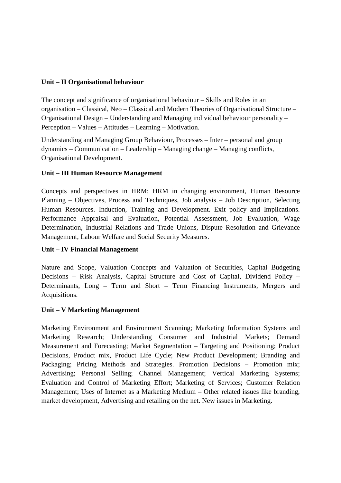# **Unit – II Organisational behaviour**

The concept and significance of organisational behaviour – Skills and Roles in an organisation – Classical, Neo – Classical and Modern Theories of Organisational Structure – Organisational Design – Understanding and Managing individual behaviour personality – Perception – Values – Attitudes – Learning – Motivation.

Understanding and Managing Group Behaviour, Processes – Inter – personal and group dynamics – Communication – Leadership – Managing change – Managing conflicts, Organisational Development.

### **Unit – III Human Resource Management**

Concepts and perspectives in HRM; HRM in changing environment, Human Resource Planning – Objectives, Process and Techniques, Job analysis – Job Description, Selecting Human Resources. Induction, Training and Development. Exit policy and Implications. Performance Appraisal and Evaluation, Potential Assessment, Job Evaluation, Wage Determination, Industrial Relations and Trade Unions, Dispute Resolution and Grievance Management, Labour Welfare and Social Security Measures.

### **Unit – IV Financial Management**

Nature and Scope, Valuation Concepts and Valuation of Securities, Capital Budgeting Decisions – Risk Analysis, Capital Structure and Cost of Capital, Dividend Policy – Determinants, Long – Term and Short – Term Financing Instruments, Mergers and Acquisitions.

### **Unit – V Marketing Management**

Marketing Environment and Environment Scanning; Marketing Information Systems and Marketing Research; Understanding Consumer and Industrial Markets; Demand Measurement and Forecasting; Market Segmentation – Targeting and Positioning; Product Decisions, Product mix, Product Life Cycle; New Product Development; Branding and Packaging; Pricing Methods and Strategies. Promotion Decisions – Promotion mix; Advertising; Personal Selling; Channel Management; Vertical Marketing Systems; Evaluation and Control of Marketing Effort; Marketing of Services; Customer Relation Management; Uses of Internet as a Marketing Medium – Other related issues like branding, market development, Advertising and retailing on the net. New issues in Marketing.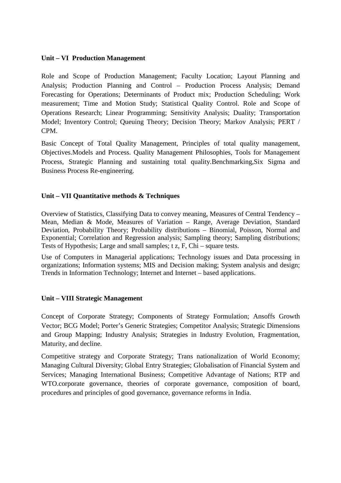#### **Unit – VI Production Management**

Role and Scope of Production Management; Faculty Location; Layout Planning and Analysis; Production Planning and Control – Production Process Analysis; Demand Forecasting for Operations; Determinants of Product mix; Production Scheduling; Work measurement; Time and Motion Study; Statistical Quality Control. Role and Scope of Operations Research; Linear Programming; Sensitivity Analysis; Duality; Transportation Model; Inventory Control; Queuing Theory; Decision Theory; Markov Analysis; PERT / CPM.

Basic Concept of Total Quality Management, Principles of total quality management, Objectives.Models and Process. Quality Management Philosophies, Tools for Management Process, Strategic Planning and sustaining total quality.Benchmarking,Six Sigma and Business Process Re-engineering.

### **Unit – VII Quantitative methods & Techniques**

Overview of Statistics, Classifying Data to convey meaning, Measures of Central Tendency – Mean, Median & Mode, Measures of Variation – Range, Average Deviation, Standard Deviation, Probability Theory; Probability distributions – Binomial, Poisson, Normal and Exponential; Correlation and Regression analysis; Sampling theory; Sampling distributions; Tests of Hypothesis; Large and small samples; t z, F, Chi – square tests.

Use of Computers in Managerial applications; Technology issues and Data processing in organizations; Information systems; MIS and Decision making; System analysis and design; Trends in Information Technology; Internet and Internet – based applications.

#### **Unit – VIII Strategic Management**

Concept of Corporate Strategy; Components of Strategy Formulation; Ansoffs Growth Vector; BCG Model; Porter's Generic Strategies; Competitor Analysis; Strategic Dimensions and Group Mapping; Industry Analysis; Strategies in Industry Evolution, Fragmentation, Maturity, and decline.

Competitive strategy and Corporate Strategy; Trans nationalization of World Economy; Managing Cultural Diversity; Global Entry Strategies; Globalisation of Financial System and Services; Managing International Business; Competitive Advantage of Nations; RTP and WTO.corporate governance, theories of corporate governance, composition of board, procedures and principles of good governance, governance reforms in India.